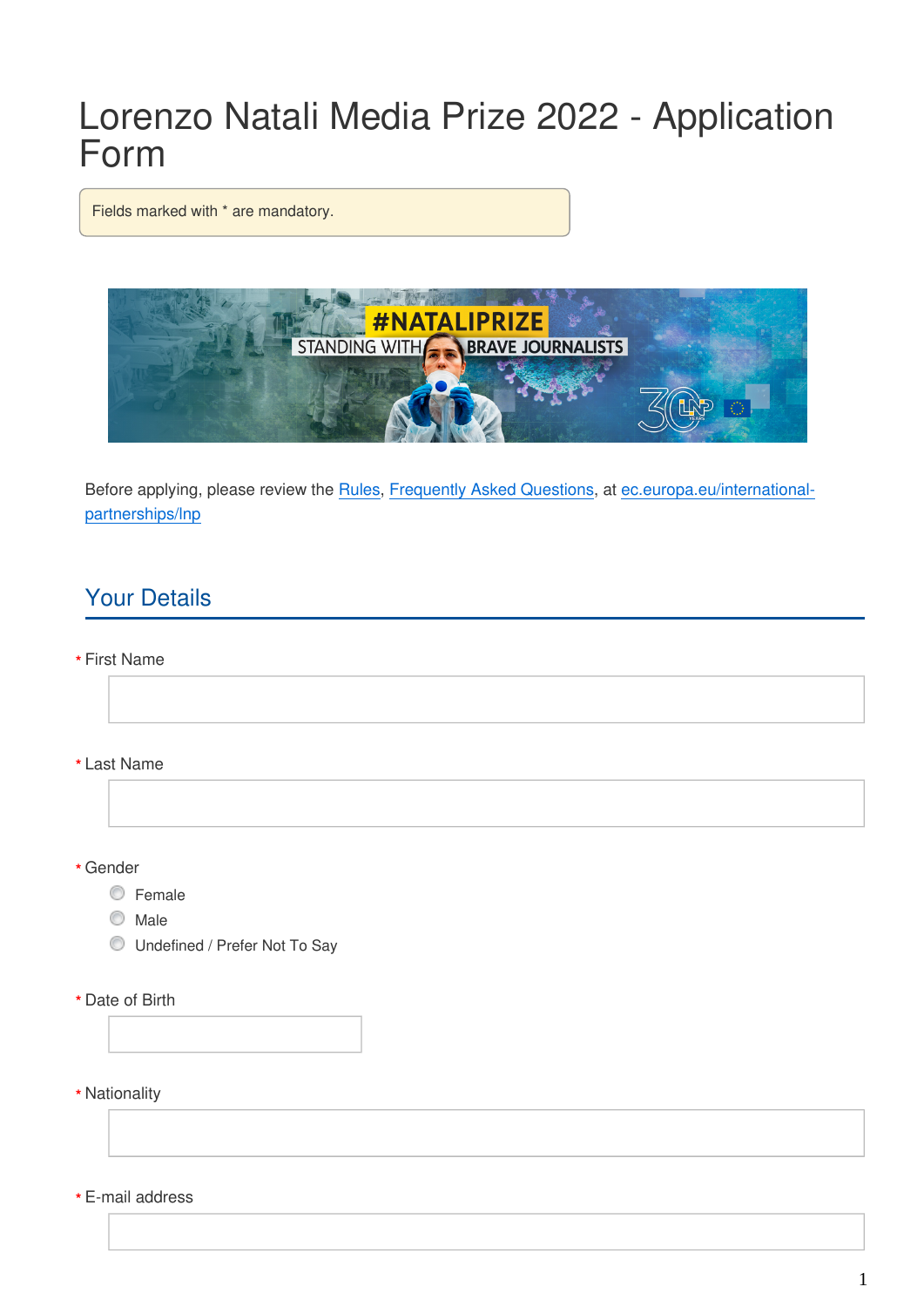# Lorenzo Natali Media Prize 2022 - Application Form

Fields marked with \* are mandatory.



Before applying, please review the [Rules](https://ec.europa.eu/international-partnerships/system/files/lnp-2022-rules_en.pdf), [Frequently Asked Questions,](https://ec.europa.eu/international-partnerships/system/files/lnp-2022-faqs_en.pdf) at [ec.europa.eu/international](https://ec.europa.eu/international-partnerships/lnp)[partnerships/lnp](https://ec.europa.eu/international-partnerships/lnp)

# Your Details

First Name **\***

Last Name **\***

Gender **\***

- C Female
- C Male
- Undefined / Prefer Not To Say
- Date of Birth **\***
- Nationality **\***

E-mail address **\***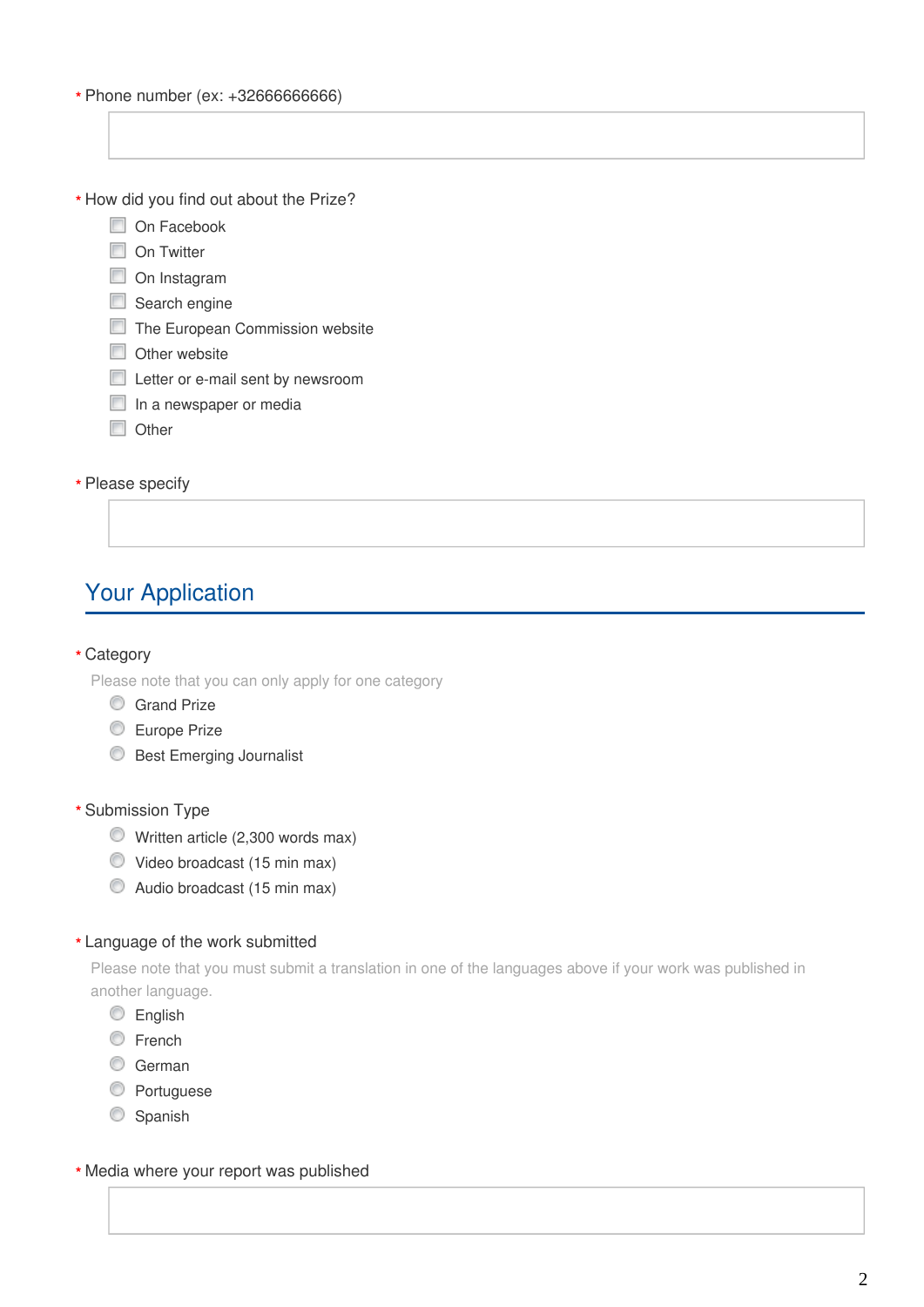Phone number (ex: +32666666666) **\***

\* How did you find out about the Prize?

- On Facebook
- On Twitter
- On Instagram
- Search engine
- The European Commission website
- $\Box$  Other website
- **Letter or e-mail sent by newsroom**
- $\Box$  In a newspaper or media
- **Other**

# Please specify **\***

# Your Application

#### Category **\***

Please note that you can only apply for one category

- Grand Prize
- **Europe Prize**
- **Best Emerging Journalist**

## Submission Type **\***

- Written article (2,300 words max)
- Video broadcast (15 min max)
- Audio broadcast (15 min max)

# Language of the work submitted **\***

Please note that you must submit a translation in one of the languages above if your work was published in another language.

- **English**
- C French
- C German
- **C** Portuguese
- Spanish

### Media where your report was published **\***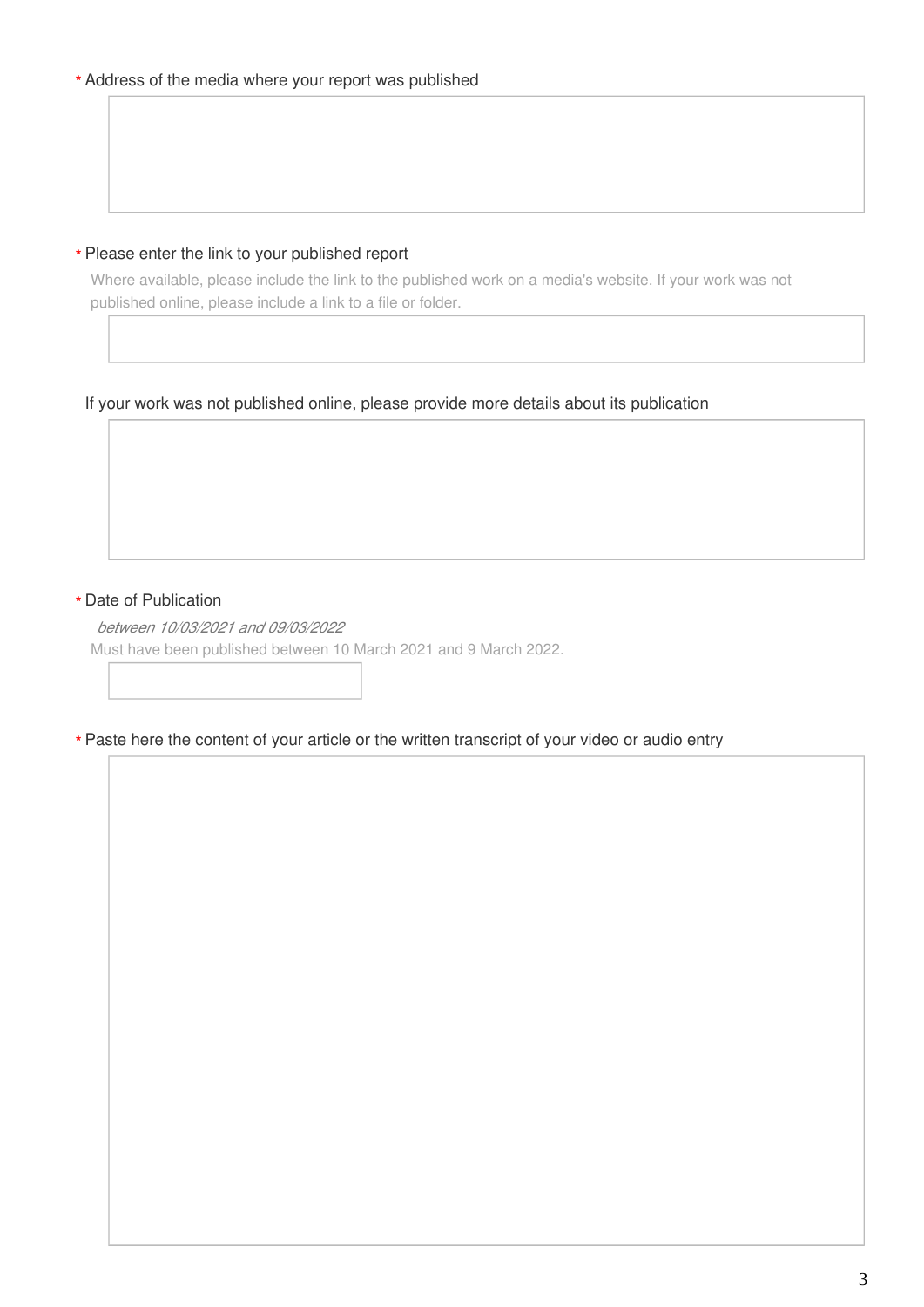### Please enter the link to your published report **\***

Where available, please include the link to the published work on a media's website. If your work was not published online, please include a link to a file or folder.

# If your work was not published online, please provide more details about its publication

## Date of Publication **\***

*between 10/03/2021 and 09/03/2022*

Must have been published between 10 March 2021 and 9 March 2022.

#### Paste here the content of your article or the written transcript of your video or audio entry **\***